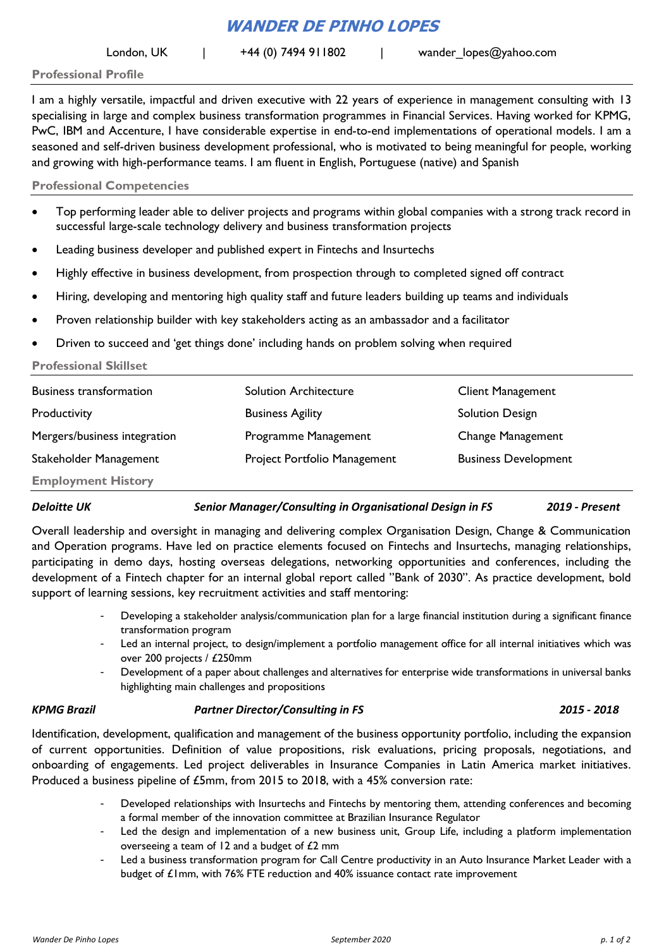# **WANDER DE PINHO LOPES**

London, UK  $\vert$  +44 (0) 7494 911802  $\vert$  wander lopes@yahoo.com

**Professional Profile**

I am a highly versatile, impactful and driven executive with 22 years of experience in management consulting with 13 specialising in large and complex business transformation programmes in Financial Services. Having worked for KPMG, PwC, IBM and Accenture, I have considerable expertise in end-to-end implementations of operational models. I am a seasoned and self-driven business development professional, who is motivated to being meaningful for people, working and growing with high-performance teams. I am fluent in English, Portuguese (native) and Spanish

# **Professional Competencies**

- Top performing leader able to deliver projects and programs within global companies with a strong track record in successful large-scale technology delivery and business transformation projects
- Leading business developer and published expert in Fintechs and Insurtechs
- Highly effective in business development, from prospection through to completed signed off contract
- Hiring, developing and mentoring high quality staff and future leaders building up teams and individuals
- Proven relationship builder with key stakeholders acting as an ambassador and a facilitator
- Driven to succeed and 'get things done' including hands on problem solving when required

# **Professional Skillset**

| <b>Business transformation</b> | <b>Solution Architecture</b> | <b>Client Management</b>    |
|--------------------------------|------------------------------|-----------------------------|
| Productivity                   | <b>Business Agility</b>      | <b>Solution Design</b>      |
| Mergers/business integration   | Programme Management         | Change Management           |
| Stakeholder Management         | Project Portfolio Management | <b>Business Development</b> |
| <b>Employment History</b>      |                              |                             |

*Deloitte UK Senior Manager/Consulting in Organisational Design in FS 2019 - Present*

Overall leadership and oversight in managing and delivering complex Organisation Design, Change & Communication and Operation programs. Have led on practice elements focused on Fintechs and Insurtechs, managing relationships, participating in demo days, hosting overseas delegations, networking opportunities and conferences, including the development of a Fintech chapter for an internal global report called "Bank of 2030". As practice development, bold support of learning sessions, key recruitment activities and staff mentoring:

- Developing a stakeholder analysis/communication plan for a large financial institution during a significant finance transformation program
- Led an internal project, to design/implement a portfolio management office for all internal initiatives which was over 200 projects / £250mm
- Development of a paper about challenges and alternatives for enterprise wide transformations in universal banks highlighting main challenges and propositions

# *KPMG Brazil Partner Director/Consulting in FS 2015 - 2018*

Identification, development, qualification and management of the business opportunity portfolio, including the expansion of current opportunities. Definition of value propositions, risk evaluations, pricing proposals, negotiations, and onboarding of engagements. Led project deliverables in Insurance Companies in Latin America market initiatives. Produced a business pipeline of £5mm, from 2015 to 2018, with a 45% conversion rate:

- Developed relationships with Insurtechs and Fintechs by mentoring them, attending conferences and becoming a formal member of the innovation committee at Brazilian Insurance Regulator
- Led the design and implementation of a new business unit, Group Life, including a platform implementation overseeing a team of 12 and a budget of £2 mm
- Led a business transformation program for Call Centre productivity in an Auto Insurance Market Leader with a budget of £1mm, with 76% FTE reduction and 40% issuance contact rate improvement